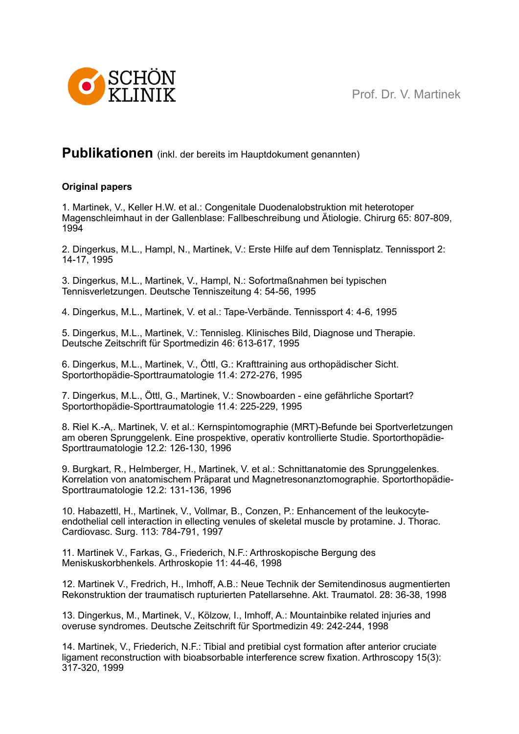Prof. Dr. V. Martinek



## **Publikationen** (inkl. der bereits im Hauptdokument genannten)

## **Original papers**

1. Martinek, V., Keller H.W. et al.: Congenitale Duodenalobstruktion mit heterotoper Magenschleimhaut in der Gallenblase: Fallbeschreibung und Ätiologie. Chirurg 65: 807-809, 1994

2. Dingerkus, M.L., Hampl, N., Martinek, V.: Erste Hilfe auf dem Tennisplatz. Tennissport 2: 14-17, 1995

3. Dingerkus, M.L., Martinek, V., Hampl, N.: Sofortmaßnahmen bei typischen Tennisverletzungen. Deutsche Tenniszeitung 4: 54-56, 1995

4. Dingerkus, M.L., Martinek, V. et al.: Tape-Verbände. Tennissport 4: 4-6, 1995

5. Dingerkus, M.L., Martinek, V.: Tennisleg. Klinisches Bild, Diagnose und Therapie. Deutsche Zeitschrift für Sportmedizin 46: 613-617, 1995

6. Dingerkus, M.L., Martinek, V., Öttl, G.: Krafttraining aus orthopädischer Sicht. Sportorthopädie-Sporttraumatologie 11.4: 272-276, 1995

7. Dingerkus, M.L., Öttl, G., Martinek, V.: Snowboarden - eine gefährliche Sportart? Sportorthopädie-Sporttraumatologie 11.4: 225-229, 1995

8. Riel K.-A,. Martinek, V. et al.: Kernspintomographie (MRT)-Befunde bei Sportverletzungen am oberen Sprunggelenk. Eine prospektive, operativ kontrollierte Studie. Sportorthopädie-Sporttraumatologie 12.2: 126-130, 1996

9. Burgkart, R., Helmberger, H., Martinek, V. et al.: Schnittanatomie des Sprunggelenkes. Korrelation von anatomischem Präparat und Magnetresonanztomographie. Sportorthopädie-Sporttraumatologie 12.2: 131-136, 1996

10. Habazettl, H., Martinek, V., Vollmar, B., Conzen, P.: Enhancement of the leukocyteendothelial cell interaction in ellecting venules of skeletal muscle by protamine. J. Thorac. Cardiovasc. Surg. 113: 784-791, 1997

11. Martinek V., Farkas, G., Friederich, N.F.: Arthroskopische Bergung des Meniskuskorbhenkels. Arthroskopie 11: 44-46, 1998

12. Martinek V., Fredrich, H., Imhoff, A.B.: Neue Technik der Semitendinosus augmentierten Rekonstruktion der traumatisch rupturierten Patellarsehne. Akt. Traumatol. 28: 36-38, 1998

13. Dingerkus, M., Martinek, V., Kölzow, I., Imhoff, A.: Mountainbike related injuries and overuse syndromes. Deutsche Zeitschrift für Sportmedizin 49: 242-244, 1998

14. Martinek, V., Friederich, N.F.: Tibial and pretibial cyst formation after anterior cruciate ligament reconstruction with bioabsorbable interference screw fixation. Arthroscopy 15(3): 317-320, 1999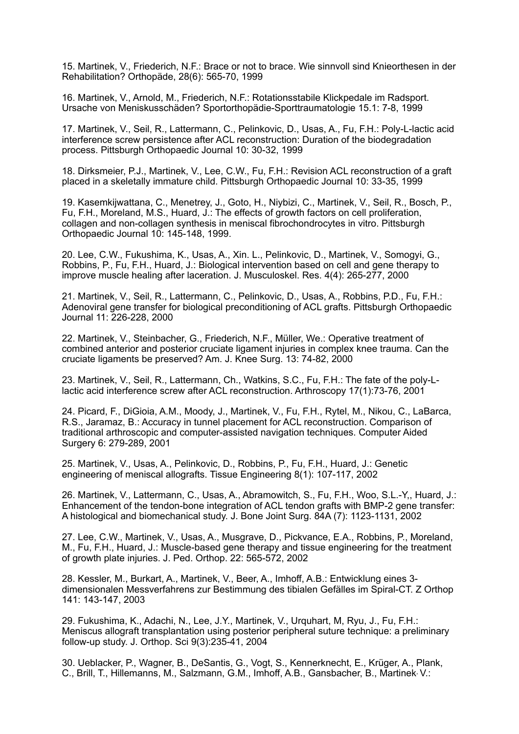15. Martinek, V., Friederich, N.F.: Brace or not to brace. Wie sinnvoll sind Knieorthesen in der Rehabilitation? Orthopäde, 28(6): 565-70, 1999

16. Martinek, V., Arnold, M., Friederich, N.F.: Rotationsstabile Klickpedale im Radsport. Ursache von Meniskusschäden? Sportorthopädie-Sporttraumatologie 15.1: 7-8, 1999

17. Martinek, V., Seil, R., Lattermann, C., Pelinkovic, D., Usas, A., Fu, F.H.: Poly-L-lactic acid interference screw persistence after ACL reconstruction: Duration of the biodegradation process. Pittsburgh Orthopaedic Journal 10: 30-32, 1999

18. Dirksmeier, P.J., Martinek, V., Lee, C.W., Fu, F.H.: Revision ACL reconstruction of a graft placed in a skeletally immature child. Pittsburgh Orthopaedic Journal 10: 33-35, 1999

19. Kasemkijwattana, C., Menetrey, J., Goto, H., Niybizi, C., Martinek, V., Seil, R., Bosch, P., Fu, F.H., Moreland, M.S., Huard, J.: The effects of growth factors on cell proliferation, collagen and non-collagen synthesis in meniscal fibrochondrocytes in vitro. Pittsburgh Orthopaedic Journal 10: 145-148, 1999.

20. Lee, C.W., Fukushima, K., Usas, A., Xin. L., Pelinkovic, D., Martinek, V., Somogyi, G., Robbins, P., Fu, F.H., Huard, J.: Biological intervention based on cell and gene therapy to improve muscle healing after laceration. J. Musculoskel. Res. 4(4): 265-277, 2000

21. Martinek, V., Seil, R., Lattermann, C., Pelinkovic, D., Usas, A., Robbins, P.D., Fu, F.H.: Adenoviral gene transfer for biological preconditioning of ACL grafts. Pittsburgh Orthopaedic Journal 11: 226-228, 2000

22. Martinek, V., Steinbacher, G., Friederich, N.F., Müller, We.: Operative treatment of combined anterior and posterior cruciate ligament injuries in complex knee trauma. Can the cruciate ligaments be preserved? Am. J. Knee Surg. 13: 74-82, 2000

23. Martinek, V., Seil, R., Lattermann, Ch., Watkins, S.C., Fu, F.H.: The fate of the poly-Llactic acid interference screw after ACL reconstruction. Arthroscopy 17(1):73-76, 2001

24. Picard, F., DiGioia, A.M., Moody, J., Martinek, V., Fu, F.H., Rytel, M., Nikou, C., LaBarca, R.S., Jaramaz, B.: Accuracy in tunnel placement for ACL reconstruction. Comparison of traditional arthroscopic and computer-assisted navigation techniques. Computer Aided Surgery 6: 279-289, 2001

25. Martinek, V., Usas, A., Pelinkovic, D., Robbins, P., Fu, F.H., Huard, J.: Genetic engineering of meniscal allografts. Tissue Engineering 8(1): 107-117, 2002

26. Martinek, V., Lattermann, C., Usas, A., Abramowitch, S., Fu, F.H., Woo, S.L.-Y,, Huard, J.: Enhancement of the tendon-bone integration of ACL tendon grafts with BMP-2 gene transfer: A histological and biomechanical study. J. Bone Joint Surg. 84A (7): 1123-1131, 2002

27. Lee, C.W., Martinek, V., Usas, A., Musgrave, D., Pickvance, E.A., Robbins, P., Moreland, M., Fu, F.H., Huard, J.: Muscle-based gene therapy and tissue engineering for the treatment of growth plate injuries. J. Ped. Orthop. 22: 565-572, 2002

28. Kessler, M., Burkart, A., Martinek, V., Beer, A., Imhoff, A.B.: Entwicklung eines 3 dimensionalen Messverfahrens zur Bestimmung des tibialen Gefälles im Spiral-CT. Z Orthop 141: 143-147, 2003

29. Fukushima, K., Adachi, N., Lee, J.Y., Martinek, V., Urquhart, M, Ryu, J., Fu, F.H.: Meniscus allograft transplantation using posterior peripheral suture technique: a preliminary follow-up study. J. Orthop. Sci 9(3):235-41, 2004

30. Ueblacker, P., Wagner, B., DeSantis, G., Vogt, S., Kennerknecht, E., Krüger, A., Plank, C., Brill, T., Hillemanns, M., Salzmann, G.M., Imhoff, A.B., Gansbacher, B., Martinek, V.: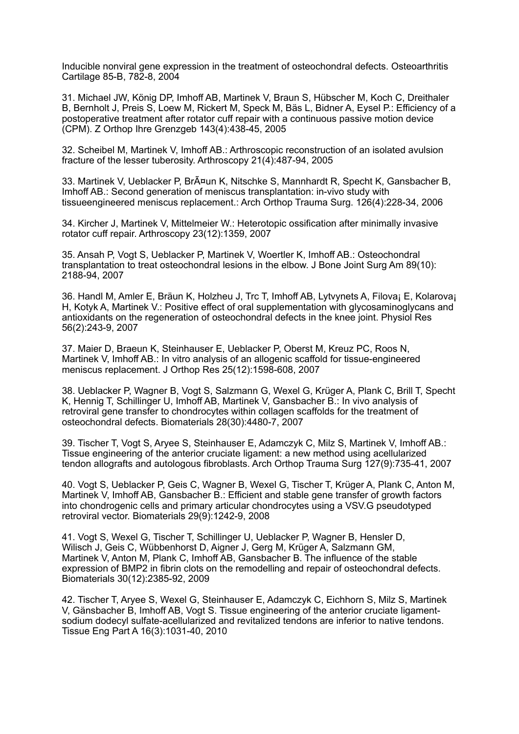Inducible nonviral gene expression in the treatment of osteochondral defects. Osteoarthritis Cartilage 85-B, 782-8, 2004

31. Michael JW, König DP, Imhoff AB, Martinek V, Braun S, Hübscher M, Koch C, Dreithaler B, Bernholt J, Preis S, Loew M, Rickert M, Speck M, Bäs L, Bidner A, Eysel P.: Efficiency of a postoperative treatment after rotator cuff repair with a continuous passive motion device (CPM). Z Orthop Ihre Grenzgeb 143(4):438-45, 2005

32. Scheibel M, Martinek V, Imhoff AB.: Arthroscopic reconstruction of an isolated avulsion fracture of the lesser tuberosity. Arthroscopy 21(4):487-94, 2005

33. Martinek V, Ueblacker P, Br $\tilde{A}$ ¤un K, Nitschke S, Mannhardt R, Specht K, Gansbacher B, Imhoff AB.: Second generation of meniscus transplantation: in-vivo study with tissueengineered meniscus replacement.: Arch Orthop Trauma Surg. 126(4):228-34, 2006

34. Kircher J, Martinek V, Mittelmeier W.: Heterotopic ossification after minimally invasive rotator cuff repair. Arthroscopy 23(12):1359, 2007

35. Ansah P, Vogt S, Ueblacker P, Martinek V, Woertler K, Imhoff AB.: Osteochondral transplantation to treat osteochondral lesions in the elbow. J Bone Joint Surg Am 89(10): 2188-94, 2007

36. Handl M, Amler E, Bräun K, Holzheu J, Trc T, Imhoff AB, Lytvynets A, Filova; E, Kolarova; H, Kotyk A, Martinek V.: Positive effect of oral supplementation with glycosaminoglycans and antioxidants on the regeneration of osteochondral defects in the knee joint. Physiol Res 56(2):243-9, 2007

37. Maier D, Braeun K, Steinhauser E, Ueblacker P, Oberst M, Kreuz PC, Roos N, Martinek V, Imhoff AB.: In vitro analysis of an allogenic scaffold for tissue-engineered meniscus replacement. J Orthop Res 25(12):1598-608, 2007

38. Ueblacker P, Wagner B, Vogt S, Salzmann G, Wexel G, Krüger A, Plank C, Brill T, Specht K, Hennig T, Schillinger U, Imhoff AB, Martinek V, Gansbacher B.: In vivo analysis of retroviral gene transfer to chondrocytes within collagen scaffolds for the treatment of osteochondral defects. Biomaterials 28(30):4480-7, 2007

39. Tischer T, Vogt S, Aryee S, Steinhauser E, Adamczyk C, Milz S, Martinek V, Imhoff AB.: Tissue engineering of the anterior cruciate ligament: a new method using acellularized tendon allografts and autologous fibroblasts. Arch Orthop Trauma Surg 127(9):735-41, 2007

40. Vogt S, Ueblacker P, Geis C, Wagner B, Wexel G, Tischer T, Krüger A, Plank C, Anton M, Martinek V, Imhoff AB, Gansbacher B.: Efficient and stable gene transfer of growth factors into chondrogenic cells and primary articular chondrocytes using a VSV.G pseudotyped retroviral vector. Biomaterials 29(9):1242-9, 2008

41. Vogt S, Wexel G, Tischer T, Schillinger U, Ueblacker P, Wagner B, Hensler D, Wilisch J, Geis C, Wübbenhorst D, Aigner J, Gerg M, Krüger A, Salzmann GM, Martinek V, Anton M, Plank C, Imhoff AB, Gansbacher B. The influence of the stable expression of BMP2 in fibrin clots on the remodelling and repair of osteochondral defects. Biomaterials 30(12):2385-92, 2009

42. Tischer T, Aryee S, Wexel G, Steinhauser E, Adamczyk C, Eichhorn S, Milz S, Martinek V, Gänsbacher B, Imhoff AB, Vogt S. Tissue engineering of the anterior cruciate ligamentsodium dodecyl sulfate-acellularized and revitalized tendons are inferior to native tendons. Tissue Eng Part A 16(3):1031-40, 2010